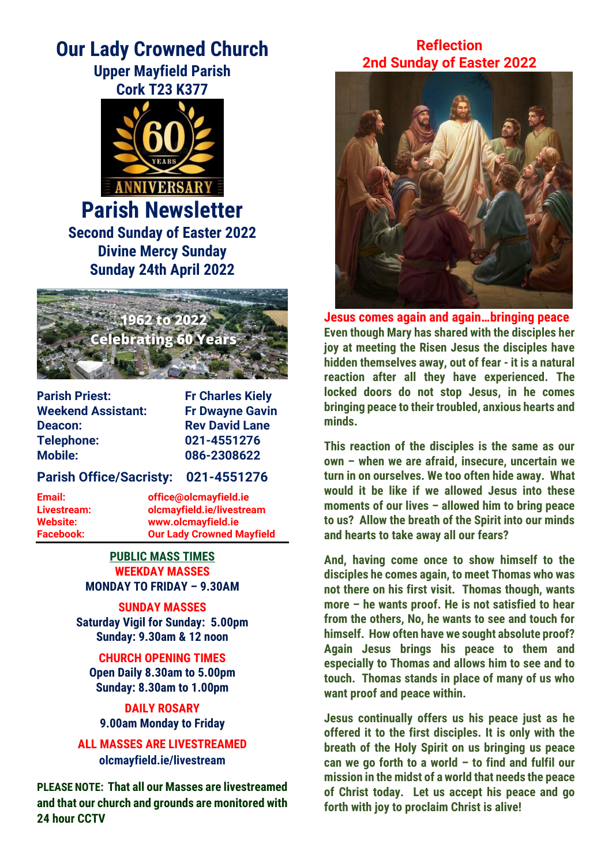# **Our Lady Crowned Church Upper Mayfield Parish**



**Parish Newsletter Second Sunday of Easter 2022 Divine Mercy Sunday Sunday 24th April 2022**



**Parish Priest:** Fr Charles Kiely **Weekend Assistant: Fr Dwayne Gavin Deacon:** Rev David Lane **Telephone: 021-4551276 Mobile: 086-2308622**

## **Parish Office/Sacristy: 021-4551276**

**Email: office@olcmayfield.ie Livestream: olcmayfield.ie/livestream Website: www.olcmayfield.ie Facebook: Our Lady Crowned Mayfield**

> **PUBLIC MASS TIMES WEEKDAY MASSES MONDAY TO FRIDAY – 9.30AM**

**SUNDAY MASSES Saturday Vigil for Sunday: 5.00pm Sunday: 9.30am & 12 noon**

**CHURCH OPENING TIMES Open Daily 8.30am to 5.00pm Sunday: 8.30am to 1.00pm**

**DAILY ROSARY 9.00am Monday to Friday**

**ALL MASSES ARE LIVESTREAMED olcmayfield.ie/livestream**

**PLEASE NOTE: That all our Masses are livestreamed and that our church and grounds are monitored with 24 hour CCTV** 

# **Reflection 2nd Sunday of Easter 2022**



**Jesus comes again and again…bringing peace Even though Mary has shared with the disciples her joy at meeting the Risen Jesus the disciples have hidden themselves away, out of fear - it is a natural reaction after all they have experienced. The locked doors do not stop Jesus, in he comes bringing peace to their troubled, anxious hearts and minds.** 

**This reaction of the disciples is the same as our own – when we are afraid, insecure, uncertain we turn in on ourselves. We too often hide away. What would it be like if we allowed Jesus into these moments of our lives – allowed him to bring peace to us? Allow the breath of the Spirit into our minds and hearts to take away all our fears?**

**And, having come once to show himself to the disciples he comes again, to meet Thomas who was not there on his first visit. Thomas though, wants more – he wants proof. He is not satisfied to hear from the others, No, he wants to see and touch for himself. How often have we sought absolute proof? Again Jesus brings his peace to them and especially to Thomas and allows him to see and to touch. Thomas stands in place of many of us who want proof and peace within.**

**Jesus continually offers us his peace just as he offered it to the first disciples. It is only with the breath of the Holy Spirit on us bringing us peace can we go forth to a world – to find and fulfil our mission in the midst of a world that needs the peace of Christ today. Let us accept his peace and go forth with joy to proclaim Christ is alive!**